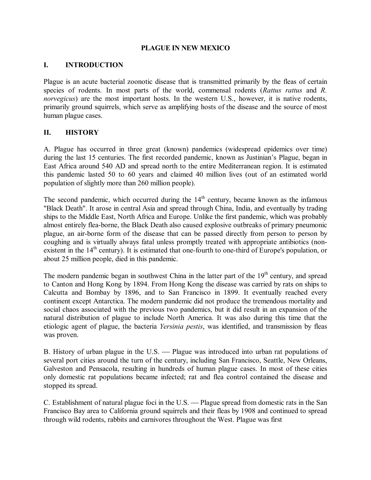#### **PLAGUE IN NEW MEXICO**

#### **I. INTRODUCTION**

Plague is an acute bacterial zoonotic disease that is transmitted primarily by the fleas of certain species of rodents. In most parts of the world, commensal rodents (*Rattus rattus* and *R. norvegicus*) are the most important hosts. In the western U.S., however, it is native rodents, primarily ground squirrels, which serve as amplifying hosts of the disease and the source of most human plague cases.

#### **II. HISTORY**

A. Plague has occurred in three great (known) pandemics (widespread epidemics over time) during the last 15 centuries. The first recorded pandemic, known as Justinian's Plague, began in East Africa around 540 AD and spread north to the entire Mediterranean region. It is estimated this pandemic lasted 50 to 60 years and claimed 40 million lives (out of an estimated world population of slightly more than 260 million people).

The second pandemic, which occurred during the  $14<sup>th</sup>$  century, became known as the infamous "Black Death". It arose in central Asia and spread through China, India, and eventually by trading ships to the Middle East, North Africa and Europe. Unlike the first pandemic, which was probably almost entirely fleaborne, the Black Death also caused explosive outbreaks of primary pneumonic plague, an air-borne form of the disease that can be passed directly from person to person by coughing and is virtually always fatal unless promptly treated with appropriate antibiotics (non existent in the 14<sup>th</sup> century). It is estimated that one-fourth to one-third of Europe's population, or about 25 million people, died in this pandemic.

The modern pandemic began in southwest China in the latter part of the  $19<sup>th</sup>$  century, and spread to Canton and Hong Kong by 1894. From Hong Kong the disease was carried by rats on ships to Calcutta and Bombay by 1896, and to San Francisco in 1899. It eventually reached every continent except Antarctica. The modern pandemic did not produce the tremendous mortality and social chaos associated with the previous two pandemics, but it did result in an expansion of the natural distribution of plague to include North America. It was also during this time that the etiologic agent of plague, the bacteria *Yersinia pestis*, was identified, and transmission by fleas was proven.

B. History of urban plague in the U.S. — Plague was introduced into urban rat populations of several port cities around the turn of the century, including San Francisco, Seattle, New Orleans, Galveston and Pensacola, resulting in hundreds of human plague cases. In most of these cities only domestic rat populations became infected; rat and flea control contained the disease and stopped its spread.

C. Establishment of natural plague foci in the U.S. — Plague spread from domestic rats in the San Francisco Bay area to California ground squirrels and their fleas by 1908 and continued to spread through wild rodents, rabbits and carnivores throughout the West. Plague was first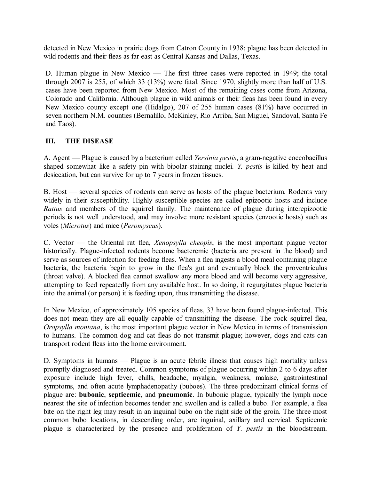detected in New Mexico in prairie dogs from Catron County in 1938; plague has been detected in wild rodents and their fleas as far east as Central Kansas and Dallas, Texas.

D. Human plague in New Mexico — The first three cases were reported in 1949; the total through 2007 is 255, of which 33 (13%) were fatal. Since 1970, slightly more than half of U.S. cases have been reported from New Mexico. Most of the remaining cases come from Arizona, Colorado and California. Although plague in wild animals or their fleas has been found in every New Mexico county except one (Hidalgo), 207 of 255 human cases (81%) have occurred in seven northern N.M. counties (Bernalillo, McKinley, Rio Arriba, San Miguel, Sandoval, Santa Fe and Taos).

### **III. THE DISEASE**

A. Agent — Plague is caused by a bacterium called *Yersinia pestis*, a gram-negative coccobacillus shaped somewhat like a safety pin with bipolar-staining nuclei. *Y. pestis* is killed by heat and desiccation, but can survive for up to 7 years in frozen tissues.

B. Host — several species of rodents can serve as hosts of the plague bacterium. Rodents vary widely in their susceptibility. Highly susceptible species are called epizootic hosts and include *Rattus* and members of the squirrel family. The maintenance of plague during interepizootic periods is not well understood, and may involve more resistant species (enzootic hosts) such as voles (*Microtus*) and mice (*Peromyscus*).

C. Vector æ the Oriental rat flea, *Xenopsylla cheopis*, is the most important plague vector historically. Plague-infected rodents become bacteremic (bacteria are present in the blood) and serve as sources of infection for feeding fleas. When a flea ingests a blood meal containing plague bacteria, the bacteria begin to grow in the flea's gut and eventually block the proventriculus (throat valve). A blocked flea cannot swallow any more blood and will become very aggressive, attempting to feed repeatedly from any available host. In so doing, it regurgitates plague bacteria into the animal (or person) it is feeding upon, thus transmitting the disease.

In New Mexico, of approximately 105 species of fleas, 33 have been found plague-infected. This does not mean they are all equally capable of transmitting the disease. The rock squirrel flea, *Oropsylla montana*, is the most important plague vector in New Mexico in terms of transmission to humans. The common dog and cat fleas do not transmit plague; however, dogs and cats can transport rodent fleas into the home environment.

D. Symptoms in humans — Plague is an acute febrile illness that causes high mortality unless promptly diagnosed and treated. Common symptoms of plague occurring within 2 to 6 days after exposure include high fever, chills, headache, myalgia, weakness, malaise, gastrointestinal symptoms, and often acute lymphadenopathy (buboes). The three predominant clinical forms of plague are: **bubonic**, **septicemic**, and **pneumonic**. In bubonic plague, typically the lymph node nearest the site of infection becomes tender and swollen and is called a bubo. For example, a flea bite on the right leg may result in an inguinal bubo on the right side of the groin. The three most common bubo locations, in descending order, are inguinal, axillary and cervical. Septicemic plague is characterized by the presence and proliferation of *Y*. *pestis* in the bloodstream.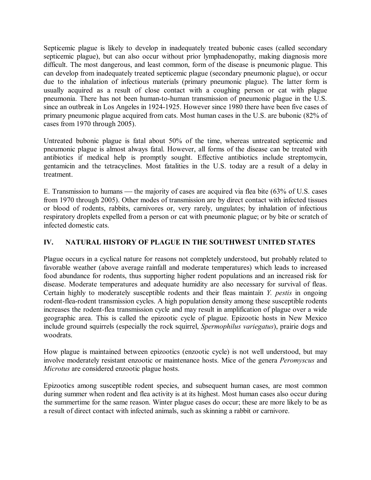Septicemic plague is likely to develop in inadequately treated bubonic cases (called secondary septicemic plague), but can also occur without prior lymphadenopathy, making diagnosis more difficult. The most dangerous, and least common, form of the disease is pneumonic plague. This can develop from inadequately treated septicemic plague (secondary pneumonic plague), or occur due to the inhalation of infectious materials (primary pneumonic plague). The latter form is usually acquired as a result of close contact with a coughing person or cat with plague pneumonia. There has not been human-to-human transmission of pneumonic plague in the U.S. since an outbreak in Los Angeles in 1924-1925. However since 1980 there have been five cases of primary pneumonic plague acquired from cats. Most human cases in the U.S. are bubonic (82% of cases from 1970 through 2005).

Untreated bubonic plague is fatal about 50% of the time, whereas untreated septicemic and pneumonic plague is almost always fatal. However, all forms of the disease can be treated with antibiotics if medical help is promptly sought. Effective antibiotics include streptomycin, gentamicin and the tetracyclines. Most fatalities in the U.S. today are a result of a delay in treatment.

E. Transmission to humans — the majority of cases are acquired via flea bite  $(63\% \text{ of } U.S. \text{ cases})$ from 1970 through 2005). Other modes of transmission are by direct contact with infected tissues or blood of rodents, rabbits, carnivores or, very rarely, ungulates; by inhalation of infectious respiratory droplets expelled from a person or cat with pneumonic plague; or by bite or scratch of infected domestic cats.

## **IV. NATURAL HISTORY OF PLAGUE IN THE SOUTHWEST UNITED STATES**

Plague occurs in a cyclical nature for reasons not completely understood, but probably related to favorable weather (above average rainfall and moderate temperatures) which leads to increased food abundance for rodents, thus supporting higher rodent populations and an increased risk for disease. Moderate temperatures and adequate humidity are also necessary for survival of fleas. Certain highly to moderately susceptible rodents and their fleas maintain *Y. pestis* in ongoing rodent-flea-rodent transmission cycles. A high population density among these susceptible rodents increases the rodent-flea transmission cycle and may result in amplification of plague over a wide geographic area. This is called the epizootic cycle of plague. Epizootic hosts in New Mexico include ground squirrels (especially the rock squirrel, *Spermophilus variegatus*), prairie dogs and woodrats.

How plague is maintained between epizootics (enzootic cycle) is not well understood, but may involve moderately resistant enzootic or maintenance hosts. Mice of the genera *Peromyscus* and *Microtus* are considered enzootic plague hosts.

Epizootics among susceptible rodent species, and subsequent human cases, are most common during summer when rodent and flea activity is at its highest. Most human cases also occur during the summertime for the same reason. Winter plague cases do occur; these are more likely to be as a result of direct contact with infected animals, such as skinning a rabbit or carnivore.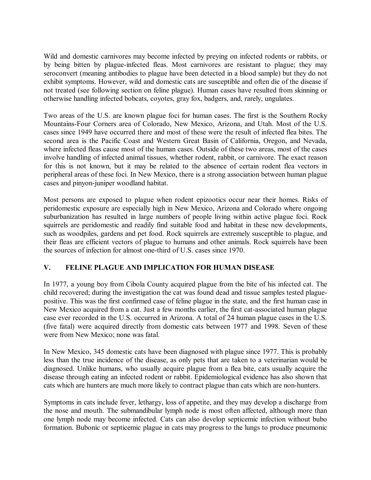Wild and domestic carnivores may become infected by preying on infected rodents or rabbits, or by being bitten by plague-infected fleas. Most carnivores are resistant to plague; they may seroconvert (meaning antibodies to plague have been detected in a blood sample) but they do not exhibit symptoms. However, wild and domestic cats are susceptible and often die of the disease if not treated (see following section on feline plague). Human cases have resulted from skinning or otherwise handling infected bobcats, coyotes, gray fox, badgers, and, rarely, ungulates.

Two areas of the U.S. are known plague foci for human cases. The first is the Southern Rocky Mountains-Four Corners area of Colorado, New Mexico, Arizona, and Utah. Most of the U.S. cases since 1949 have occurred there and most of these were the result of infected flea bites. The second area is the Pacific Coast and Western Great Basin of California, Oregon, and Nevada, where infected fleas cause most of the human cases. Outside of these two areas, most of the cases involve handling of infected animal tissues, whether rodent, rabbit, or carnivore. The exact reason for this is not known, but it may be related to the absence of certain rodent flea vectors in peripheral areas of these foci. In New Mexico, there is a strong association between human plague cases and pinyon-juniper woodland habitat.

Most persons are exposed to plague when rodent epizootics occur near their homes. Risks of peridomestic exposure are especially high in New Mexico, Arizona and Colorado where ongoing suburbanization has resulted in large numbers of people living within active plague foci. Rock squirrels are peridomestic and readily find suitable food and habitat in these new developments, such as woodpiles, gardens and pet food. Rock squirrels are extremely susceptible to plague, and their fleas are efficient vectors of plague to humans and other animals. Rock squirrels have been the sources of infection for almost one-third of U.S. cases since 1970.

## **V. FELINE PLAGUE AND IMPLICATION FOR HUMAN DISEASE**

In 1977, a young boy from Cibola County acquired plague from the bite of his infected cat. The child recovered; during the investigation the cat was found dead and tissue samples tested plague positive. This was the first confirmed case of feline plague in the state, and the first human case in New Mexico acquired from a cat. Just a few months earlier, the first cat-associated human plague case ever recorded in the U.S. occurred in Arizona. A total of 24 human plague cases in the U.S. (five fatal) were acquired directly from domestic cats between 1977 and 1998. Seven of these were from New Mexico; none was fatal.

In New Mexico, 345 domestic cats have been diagnosed with plague since 1977. This is probably less than the true incidence of the disease, as only pets that are taken to a veterinarian would be diagnosed. Unlike humans, who usually acquire plague from a flea bite, cats usually acquire the disease through eating an infected rodent or rabbit. Epidemiological evidence has also shown that cats which are hunters are much more likely to contract plague than cats which are non-hunters.

Symptoms in cats include fever, lethargy, loss of appetite, and they may develop a discharge from the nose and mouth. The submandibular lymph node is most often affected, although more than one lymph node may become infected. Cats can also develop septicemic infection without bubo formation. Bubonic or septicemic plague in cats may progress to the lungs to produce pneumonic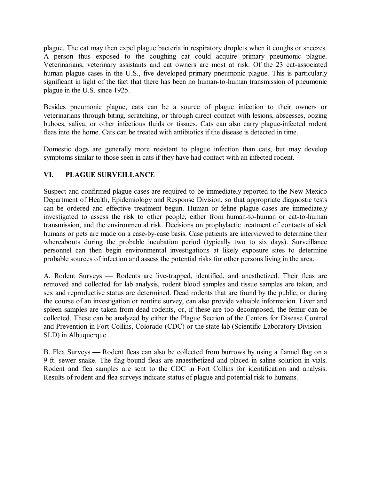plague. The cat may then expel plague bacteria in respiratory droplets when it coughs or sneezes. A person thus exposed to the coughing cat could acquire primary pneumonic plague. Veterinarians, veterinary assistants and cat owners are most at risk. Of the 23 cat-associated human plague cases in the U.S., five developed primary pneumonic plague. This is particularly significant in light of the fact that there has been no human-to-human transmission of pneumonic plague in the U.S. since 1925.

Besides pneumonic plague, cats can be a source of plague infection to their owners or veterinarians through biting, scratching, or through direct contact with lesions, abscesses, oozing buboes, saliva, or other infectious fluids or tissues. Cats can also carry plague-infected rodent fleas into the home. Cats can be treated with antibiotics if the disease is detected in time.

Domestic dogs are generally more resistant to plague infection than cats, but may develop symptoms similar to those seen in cats if they have had contact with an infected rodent.

## **VI. PLAGUE SURVEILLANCE**

Suspect and confirmed plague cases are required to be immediately reported to the New Mexico Department of Health, Epidemiology and Response Division, so that appropriate diagnostic tests can be ordered and effective treatment begun. Human or feline plague cases are immediately investigated to assess the risk to other people, either from human-to-human or cat-to-human transmission, and the environmental risk. Decisions on prophylactic treatment of contacts of sick humans or pets are made on a case-by-case basis. Case patients are interviewed to determine their whereabouts during the probable incubation period (typically two to six days). Surveillance personnel can then begin environmental investigations at likely exposure sites to determine probable sources of infection and assess the potential risks for other persons living in the area.

A. Rodent Surveys — Rodents are live-trapped, identified, and anesthetized. Their fleas are removed and collected for lab analysis, rodent blood samples and tissue samples are taken, and sex and reproductive status are determined. Dead rodents that are found by the public, or during the course of an investigation or routine survey, can also provide valuable information. Liver and spleen samples are taken from dead rodents, or, if these are too decomposed, the femur can be collected. These can be analyzed by either the Plague Section of the Centers for Disease Control and Prevention in Fort Collins, Colorado (CDC) or the state lab (Scientific Laboratory Division – SLD) in Albuquerque.

B. Flea Surveys — Rodent fleas can also be collected from burrows by using a flannel flag on a 9-ft. sewer snake. The flag-bound fleas are anaesthetized and placed in saline solution in vials. Rodent and flea samples are sent to the CDC in Fort Collins for identification and analysis. Results of rodent and flea surveys indicate status of plague and potential risk to humans.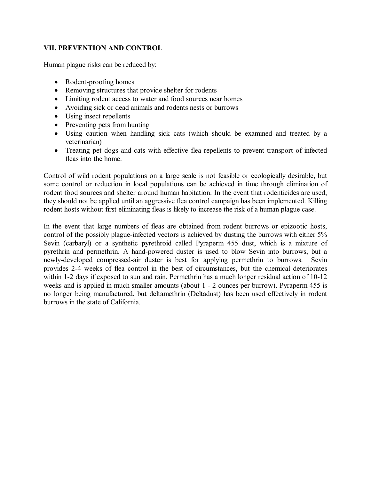#### **VII. PREVENTION AND CONTROL**

Human plague risks can be reduced by:

- $\bullet$  Rodent-proofing homes
- Removing structures that provide shelter for rodents
- Limiting rodent access to water and food sources near homes
- Avoiding sick or dead animals and rodents nests or burrows
- Using insect repellents
- Preventing pets from hunting
- · Using caution when handling sick cats (which should be examined and treated by a veterinarian)
- · Treating pet dogs and cats with effective flea repellents to prevent transport of infected fleas into the home.

Control of wild rodent populations on a large scale is not feasible or ecologically desirable, but some control or reduction in local populations can be achieved in time through elimination of rodent food sources and shelter around human habitation. In the event that rodenticides are used, they should not be applied until an aggressive flea control campaign has been implemented. Killing rodent hosts without first eliminating fleas is likely to increase the risk of a human plague case.

In the event that large numbers of fleas are obtained from rodent burrows or epizootic hosts, control of the possibly plague-infected vectors is achieved by dusting the burrows with either  $5\%$ Sevin (carbaryl) or a synthetic pyrethroid called Pyraperm 455 dust, which is a mixture of pyrethrin and permethrin. A hand-powered duster is used to blow Sevin into burrows, but a newly-developed compressed-air duster is best for applying permethrin to burrows. Sevin provides 24 weeks of flea control in the best of circumstances, but the chemical deteriorates within 1-2 days if exposed to sun and rain. Permethrin has a much longer residual action of 10-12 weeks and is applied in much smaller amounts (about 1 - 2 ounces per burrow). Pyraperm 455 is no longer being manufactured, but deltamethrin (Deltadust) has been used effectively in rodent burrows in the state of California.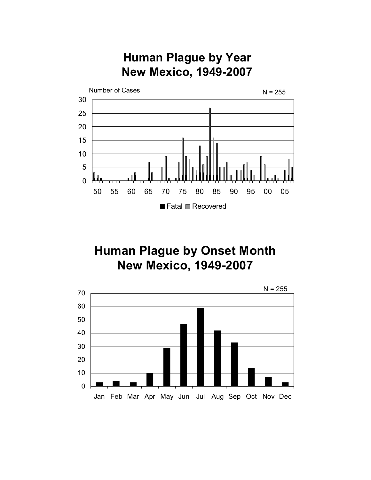# **Human Plague by Year New Mexico, 1949-2007**



# **Human Plague by Onset Month New Mexico, 1949-2007**

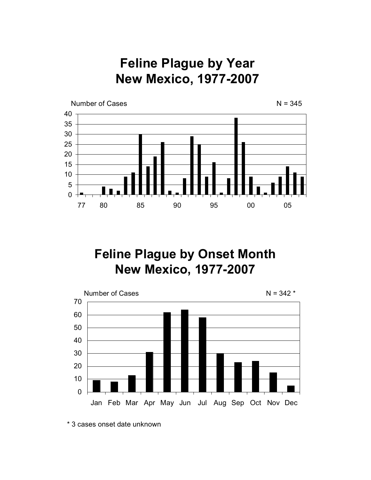**Feline Plague by Year New Mexico, 1977-2007** 



# **Feline Plague by Onset Month New Mexico, 1977-2007**



<sup>\*</sup> 3 cases onset date unknown